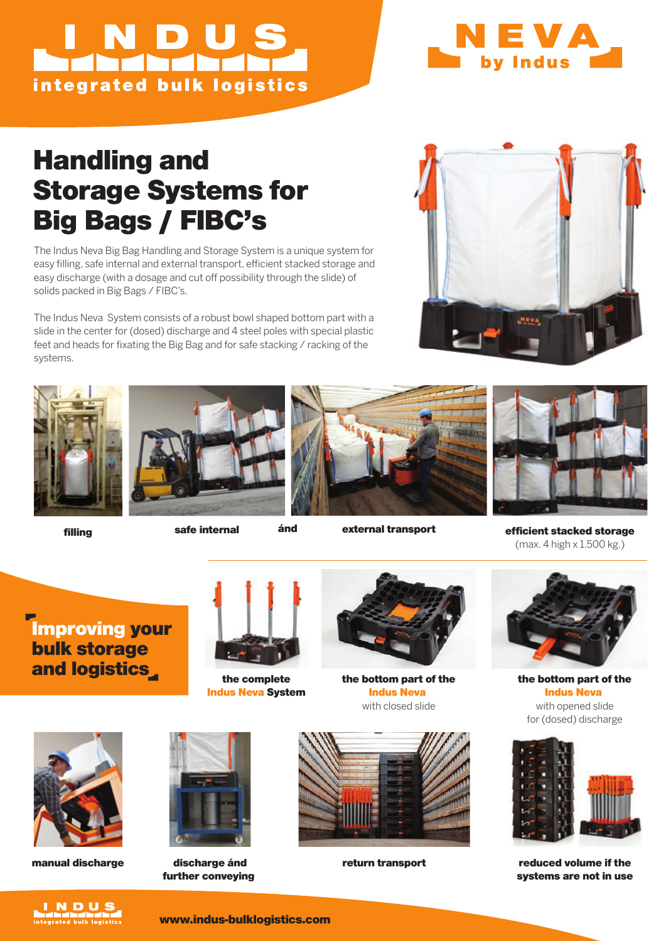# NDUS integrated bulk logistics



### Handling and Storage Systems for Big Bags / FIBC's

The Indus Neva Big Bag Handling and Storage System is a unique system for easy filling, safe internal and external transport, efficient stacked storage and easy discharge (with a dosage and cut off possibility through the slide) of solids packed in Big Bags / FIBC's.

The Indus Neva System consists of a robust bowl shaped bottom part with a slide in the center for (dosed) discharge and 4 steel poles with special plastic feet and heads for fixating the Big Bag and for safe stacking / racking of the systems.





external transport



filling safe internal and external transport efficient stacked storage (max. 4 high x 1.500 kg.)

Improving your bulk storage and logistics



the complete Indus Neva System



the bottom part of the Indus Neva with closed slide



the bottom part of the Indus Neva with opened slide for (dosed) discharge



return transport reduced volume if the systems are not in use



manual discharge discharge ánd



further conveying